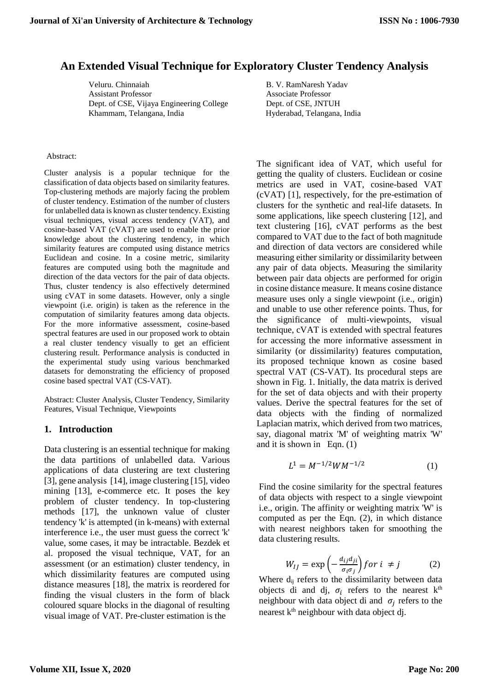# **An Extended Visual Technique for Exploratory Cluster Tendency Analysis**

Veluru. Chinnaiah B. V. RamNaresh Yadav Assistant Professor Associate Professor Dept. of CSE, Vijaya Engineering College Dept. of CSE, JNTUH Khammam, Telangana, India

Hyderabad, Telangana, India

#### Abstract:

Cluster analysis is a popular technique for the classification of data objects based on similarity features. Top-clustering methods are majorly facing the problem of cluster tendency. Estimation of the number of clusters for unlabelled data is known as cluster tendency. Existing visual techniques, visual access tendency (VAT), and cosine-based VAT (cVAT) are used to enable the prior knowledge about the clustering tendency, in which similarity features are computed using distance metrics Euclidean and cosine. In a cosine metric, similarity features are computed using both the magnitude and direction of the data vectors for the pair of data objects. Thus, cluster tendency is also effectively determined using cVAT in some datasets. However, only a single viewpoint (i.e. origin) is taken as the reference in the computation of similarity features among data objects. For the more informative assessment, cosine-based spectral features are used in our proposed work to obtain a real cluster tendency visually to get an efficient clustering result. Performance analysis is conducted in the experimental study using various benchmarked datasets for demonstrating the efficiency of proposed cosine based spectral VAT (CS-VAT).

Abstract: Cluster Analysis, Cluster Tendency, Similarity Features, Visual Technique, Viewpoints

## **1. Introduction**

Data clustering is an essential technique for making the data partitions of unlabelled data. Various applications of data clustering are text clustering [3], gene analysis [14], image clustering [15], video mining [13], e-commerce etc. It poses the key problem of cluster tendency. In top-clustering methods [17], the unknown value of cluster tendency 'k' is attempted (in k-means) with external interference i.e., the user must guess the correct 'k' value, some cases, it may be intractable. Bezdek et al. proposed the visual technique, VAT, for an assessment (or an estimation) cluster tendency, in which dissimilarity features are computed using distance measures [18], the matrix is reordered for finding the visual clusters in the form of black coloured square blocks in the diagonal of resulting visual image of VAT. Pre-cluster estimation is the

The significant idea of VAT, which useful for getting the quality of clusters. Euclidean or cosine metrics are used in VAT, cosine-based VAT (cVAT) [1], respectively, for the pre-estimation of clusters for the synthetic and real-life datasets. In some applications, like speech clustering [12], and text clustering [16], cVAT performs as the best compared to VAT due to the fact of both magnitude and direction of data vectors are considered while measuring either similarity or dissimilarity between any pair of data objects. Measuring the similarity between pair data objects are performed for origin in cosine distance measure. It means cosine distance measure uses only a single viewpoint (i.e., origin) and unable to use other reference points. Thus, for the significance of multi-viewpoints, visual technique, cVAT is extended with spectral features for accessing the more informative assessment in similarity (or dissimilarity) features computation, its proposed technique known as cosine based spectral VAT (CS-VAT). Its procedural steps are shown in Fig. 1. Initially, the data matrix is derived for the set of data objects and with their property values. Derive the spectral features for the set of data objects with the finding of normalized Laplacian matrix, which derived from two matrices, say, diagonal matrix 'M' of weighting matrix 'W' and it is shown in Eqn. (1)

$$
L^1 = M^{-1/2} W M^{-1/2}
$$
 (1)

Find the cosine similarity for the spectral features of data objects with respect to a single viewpoint i.e., origin. The affinity or weighting matrix 'W' is computed as per the Eqn. (2), in which distance with nearest neighbors taken for smoothing the data clustering results.

$$
W_{IJ} = \exp\left(-\frac{a_{ij}a_{ji}}{\sigma_i \sigma_j}\right) \text{ for } i \neq j \tag{2}
$$

Where  $d_{ij}$  refers to the dissimilarity between data objects di and dj,  $\sigma_i$  refers to the nearest k<sup>th</sup> neighbour with data object di and  $\sigma_j$  refers to the nearest  $k<sup>th</sup>$  neighbour with data object dj.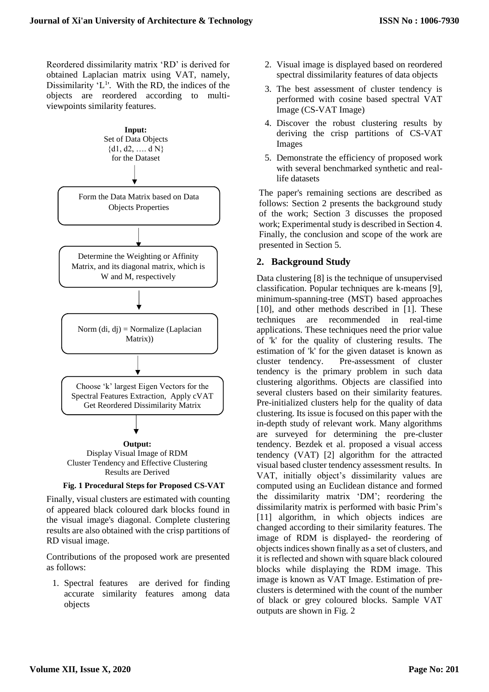Reordered dissimilarity matrix 'RD' is derived for obtained Laplacian matrix using VAT, namely, Dissimilarity ' $L^1$ '. With the RD, the indices of the objects are reordered according to multiviewpoints similarity features.



Finally, visual clusters are estimated with counting of appeared black coloured dark blocks found in the visual image's diagonal. Complete clustering results are also obtained with the crisp partitions of RD visual image.

Contributions of the proposed work are presented as follows:

1. Spectral features are derived for finding accurate similarity features among data objects

- 2. Visual image is displayed based on reordered spectral dissimilarity features of data objects
- 3. The best assessment of cluster tendency is performed with cosine based spectral VAT Image (CS-VAT Image)
- 4. Discover the robust clustering results by deriving the crisp partitions of CS-VAT Images
- 5. Demonstrate the efficiency of proposed work with several benchmarked synthetic and reallife datasets

The paper's remaining sections are described as follows: Section 2 presents the background study of the work; Section 3 discusses the proposed work; Experimental study is described in Section 4. Finally, the conclusion and scope of the work are presented in Section 5.

# **2. Background Study**

Data clustering [8] is the technique of unsupervised classification. Popular techniques are k-means [9], minimum-spanning-tree (MST) based approaches [10], and other methods described in [1]. These techniques are recommended in real-time applications. These techniques need the prior value of 'k' for the quality of clustering results. The estimation of 'k' for the given dataset is known as cluster tendency. Pre-assessment of cluster tendency is the primary problem in such data clustering algorithms. Objects are classified into several clusters based on their similarity features. Pre-initialized clusters help for the quality of data clustering. Its issue is focused on this paper with the in-depth study of relevant work. Many algorithms are surveyed for determining the pre-cluster tendency. Bezdek et al. proposed a visual access tendency (VAT) [2] algorithm for the attracted visual based cluster tendency assessment results. In VAT, initially object's dissimilarity values are computed using an Euclidean distance and formed the dissimilarity matrix 'DM'; reordering the dissimilarity matrix is performed with basic Prim's [11] algorithm, in which objects indices are changed according to their similarity features. The image of RDM is displayed- the reordering of objects indices shown finally as a set of clusters, and it is reflected and shown with square black coloured blocks while displaying the RDM image. This image is known as VAT Image. Estimation of preclusters is determined with the count of the number of black or grey coloured blocks. Sample VAT outputs are shown in Fig. 2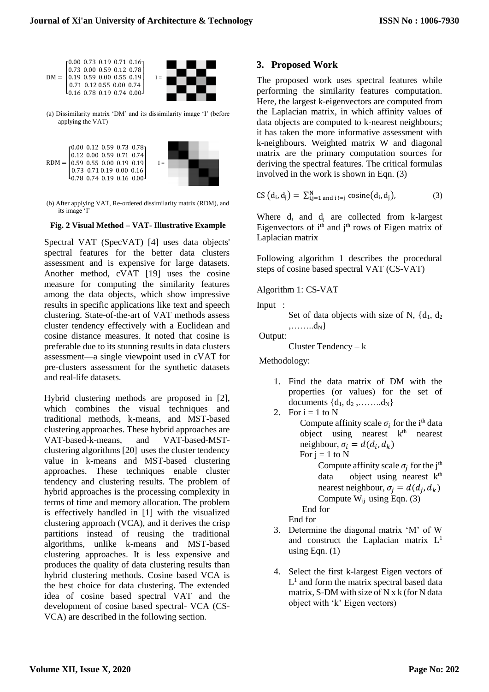

(a) Dissimilarity matrix 'DM' and its dissimilarity image 'I' (before applying the VAT)



(b) After applying VAT, Re-ordered dissimilarity matrix (RDM), and its image 'I'

### **Fig. 2 Visual Method – VAT- Illustrative Example**

Spectral VAT (SpecVAT) [4] uses data objects' spectral features for the better data clusters assessment and is expensive for large datasets. Another method, cVAT [19] uses the cosine measure for computing the similarity features among the data objects, which show impressive results in specific applications like text and speech clustering. State-of-the-art of VAT methods assess cluster tendency effectively with a Euclidean and cosine distance measures. It noted that cosine is preferable due to its stunning results in data clusters assessment—a single viewpoint used in cVAT for pre-clusters assessment for the synthetic datasets and real-life datasets.

Hybrid clustering methods are proposed in [2], which combines the visual techniques and traditional methods, k-means, and MST-based clustering approaches. These hybrid approaches are VAT-based-k-means, and VAT-based-MSTclustering algorithms [20] uses the cluster tendency value in k-means and MST-based clustering approaches. These techniques enable cluster tendency and clustering results. The problem of hybrid approaches is the processing complexity in terms of time and memory allocation. The problem is effectively handled in [1] with the visualized clustering approach (VCA), and it derives the crisp partitions instead of reusing the traditional algorithms, unlike k-means and MST-based clustering approaches. It is less expensive and produces the quality of data clustering results than hybrid clustering methods. Cosine based VCA is the best choice for data clustering. The extended idea of cosine based spectral VAT and the development of cosine based spectral- VCA (CS-VCA) are described in the following section.

## **3. Proposed Work**

The proposed work uses spectral features while performing the similarity features computation. Here, the largest k-eigenvectors are computed from the Laplacian matrix, in which affinity values of data objects are computed to k-nearest neighbours; it has taken the more informative assessment with k-neighbours. Weighted matrix W and diagonal matrix are the primary computation sources for deriving the spectral features. The critical formulas involved in the work is shown in Eqn. (3)

$$
CS\left(d_i, d_j\right) = \sum_{i,j=1}^{N} \text{ and } i := j \text{ cosine}(d_i, d_j), \tag{3}
$$

Where  $d_i$  and  $d_j$  are collected from k-largest Eigenvectors of  $i<sup>th</sup>$  and  $j<sup>th</sup>$  rows of Eigen matrix of Laplacian matrix

Following algorithm 1 describes the procedural steps of cosine based spectral VAT (CS-VAT)

Algorithm 1: CS-VAT

Input :

Set of data objects with size of N,  $\{d_1, d_2\}$  $,......,d_N\}$ 

Output:

Cluster Tendency – k

Methodology:

- 1. Find the data matrix of DM with the properties (or values) for the set of documents  $\{d_1, d_2, \ldots, d_N\}$
- 2. For  $i = 1$  to N Compute affinity scale  $\sigma_i$  for the i<sup>th</sup> data object using nearest k<sup>th</sup> nearest neighbour,  $\sigma_i = d(d_i, d_k)$ For  $j = 1$  to N Compute affinity scale  $\sigma_j$  for the j<sup>th</sup> data object using nearest  $k<sup>th</sup>$ nearest neighbour,  $\sigma_j = d(d_j, d_k)$ Compute  $W_{ij}$  using Eqn. (3) End for

End for

- 3. Determine the diagonal matrix 'M' of W and construct the Laplacian matrix  $L<sup>1</sup>$ using Eqn.  $(1)$
- 4. Select the first k-largest Eigen vectors of  $L<sup>1</sup>$  and form the matrix spectral based data matrix, S-DM with size of N x k (for N data object with 'k' Eigen vectors)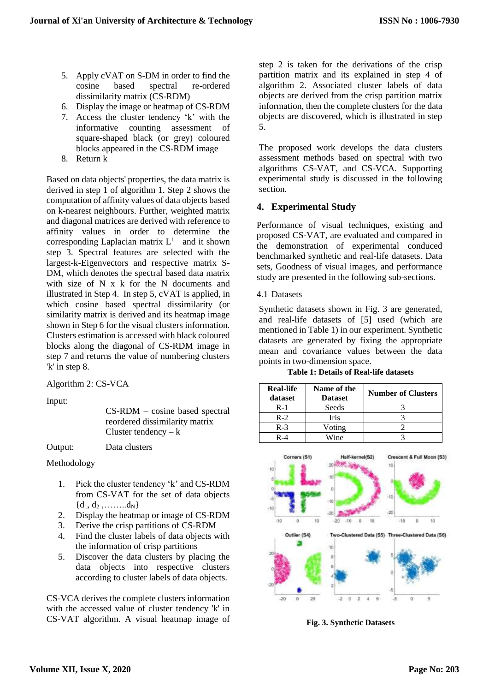- 5. Apply cVAT on S-DM in order to find the cosine based spectral re-ordered dissimilarity matrix (CS-RDM)
- 6. Display the image or heatmap of CS-RDM
- 7. Access the cluster tendency 'k' with the informative counting assessment of square-shaped black (or grey) coloured blocks appeared in the CS-RDM image
- 8. Return k

Based on data objects' properties, the data matrix is derived in step 1 of algorithm 1. Step 2 shows the computation of affinity values of data objects based on k-nearest neighbours. Further, weighted matrix and diagonal matrices are derived with reference to affinity values in order to determine the corresponding Laplacian matrix  $L<sup>1</sup>$  and it shown step 3. Spectral features are selected with the largest-k-Eigenvectors and respective matrix S-DM, which denotes the spectral based data matrix with size of N x k for the N documents and illustrated in Step 4. In step 5, cVAT is applied, in which cosine based spectral dissimilarity (or similarity matrix is derived and its heatmap image shown in Step 6 for the visual clusters information. Clusters estimation is accessed with black coloured blocks along the diagonal of CS-RDM image in step 7 and returns the value of numbering clusters 'k' in step 8.

Algorithm 2: CS-VCA

Input:

CS-RDM – cosine based spectral reordered dissimilarity matrix Cluster tendency  $-k$ 

Output: Data clusters

Methodology

- 1. Pick the cluster tendency 'k' and CS-RDM from CS-VAT for the set of data objects  ${d_1, d_2, \ldots, d_N}$
- 2. Display the heatmap or image of CS-RDM
- 3. Derive the crisp partitions of CS-RDM
- 4. Find the cluster labels of data objects with the information of crisp partitions
- 5. Discover the data clusters by placing the data objects into respective clusters according to cluster labels of data objects.

CS-VCA derives the complete clusters information with the accessed value of cluster tendency 'k' in CS-VAT algorithm. A visual heatmap image of step 2 is taken for the derivations of the crisp partition matrix and its explained in step 4 of algorithm 2. Associated cluster labels of data objects are derived from the crisp partition matrix information, then the complete clusters for the data objects are discovered, which is illustrated in step 5.

The proposed work develops the data clusters assessment methods based on spectral with two algorithms CS-VAT, and CS-VCA. Supporting experimental study is discussed in the following section.

# **4. Experimental Study**

Performance of visual techniques, existing and proposed CS-VAT, are evaluated and compared in the demonstration of experimental conduced benchmarked synthetic and real-life datasets. Data sets, Goodness of visual images, and performance study are presented in the following sub-sections.

# 4.1 Datasets

Synthetic datasets shown in Fig. 3 are generated, and real-life datasets of [5] used (which are mentioned in Table 1) in our experiment. Synthetic datasets are generated by fixing the appropriate mean and covariance values between the data points in two-dimension space.

**Table 1: Details of Real-life datasets**

| <b>Real-life</b><br>dataset | Name of the<br><b>Dataset</b> | <b>Number of Clusters</b> |
|-----------------------------|-------------------------------|---------------------------|
| $R-1$                       | Seeds                         |                           |
| $R-2$                       | Iris                          |                           |
| $R-3$                       | Voting                        |                           |
| $R - 4$                     | Wine                          |                           |



**Fig. 3. Synthetic Datasets**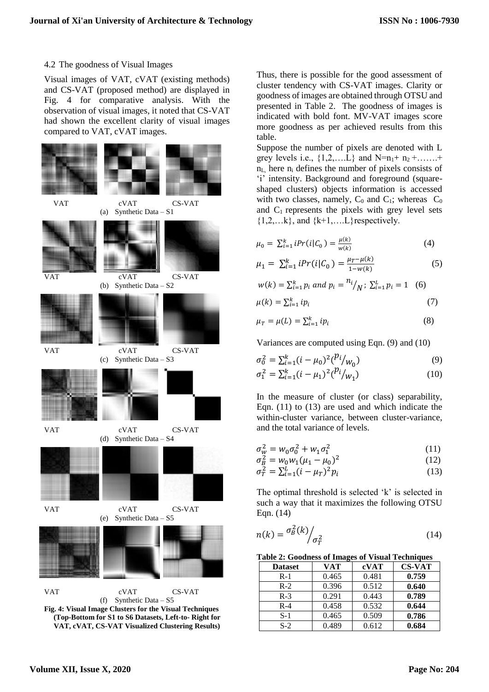#### 4.2 The goodness of Visual Images

Visual images of VAT, cVAT (existing methods) and CS-VAT (proposed method) are displayed in Fig. 4 for comparative analysis. With the observation of visual images, it noted that CS-VAT had shown the excellent clarity of visual images compared to VAT, cVAT images.





Thus, there is possible for the good assessment of cluster tendency with CS-VAT images. Clarity or goodness of images are obtained through OTSU and presented in Table 2. The goodness of images is indicated with bold font. MV-VAT images score more goodness as per achieved results from this table.

Suppose the number of pixels are denoted with L grey levels i.e.,  $\{1, 2, \ldots, L\}$  and N=n<sub>1</sub>+ n<sub>2</sub> + .......+  $n<sub>L</sub>$  here  $n<sub>i</sub>$  defines the number of pixels consists of 'i' intensity. Background and foreground (squareshaped clusters) objects information is accessed with two classes, namely,  $C_0$  and  $C_1$ ; whereas  $C_0$ and  $C_1$  represents the pixels with grey level sets  ${1,2,...k}$ , and  ${k+1,...L}$  respectively.

$$
\mu_0 = \sum_{i=1}^k iPr(i|C_0) = \frac{\mu(k)}{w(k)}
$$
(4)

$$
\mu_1 = \sum_{i=1}^{k} i Pr(i|C_0) = \frac{\mu_T - \mu(k)}{1 - w(k)}
$$
(5)

$$
w(k) = \sum_{i=1}^{k} p_i \text{ and } p_i = \frac{n_i}{N}; \ \sum_{i=1}^{L} p_i = 1 \quad (6)
$$
  

$$
\mu(k) = \sum_{i=1}^{k} i p_i \tag{7}
$$

$$
\mu_T = \mu(L) = \sum_{i=1}^k i p_i \tag{8}
$$

Variances are computed using Eqn. (9) and (10)

$$
\sigma_0^2 = \sum_{i=1}^k (i - \mu_0)^2 {p_i / w_0}
$$
 (9)

$$
\sigma_1^2 = \sum_{i=1}^k (i - \mu_1)^2 {\binom{p_i}{w_1}}
$$
 (10)

In the measure of cluster (or class) separability, Eqn. (11) to (13) are used and which indicate the within-cluster variance, between cluster-variance, and the total variance of levels.

$$
\sigma_W^2 = w_0 \sigma_0^2 + w_1 \sigma_1^2 \tag{11}
$$

$$
\sigma_{\underline{B}}^2 = w_0 w_1 (\mu_1 - \mu_0)^2 \tag{12}
$$

$$
\sigma_T^2 = \sum_{i=1}^L (i - \mu_T)^2 p_i \tag{13}
$$

The optimal threshold is selected 'k' is selected in such a way that it maximizes the following OTSU Eqn. (14)

$$
n(k) = \frac{\sigma_B^2(k)}{\sigma_T^2}
$$
 (14)

**Table 2: Goodness of Images of Visual Techniques**

| <b>Dataset</b> | VAT   | cVAT  | <b>CS-VAT</b> |
|----------------|-------|-------|---------------|
| $R-1$          | 0.465 | 0.481 | 0.759         |
| $R-2$          | 0.396 | 0.512 | 0.640         |
| $R-3$          | 0.291 | 0.443 | 0.789         |
| $R-4$          | 0.458 | 0.532 | 0.644         |
| $S-1$          | 0.465 | 0.509 | 0.786         |
| $S-2$          | 0.489 | 0.612 | 0.684         |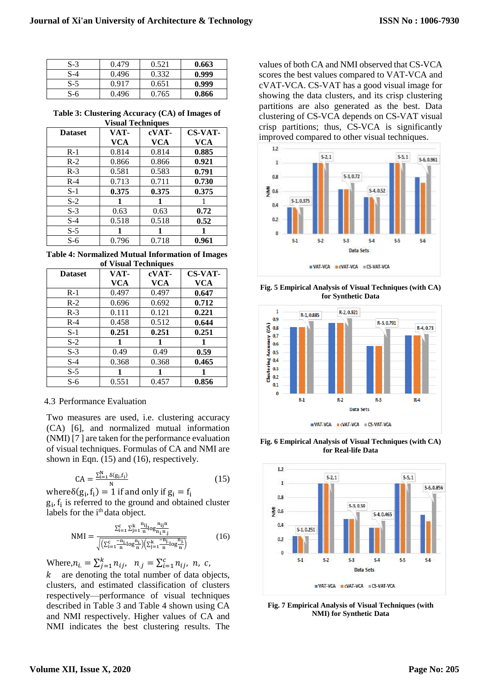| $S-3$ | 0.479 | 0.521 | 0.663 |
|-------|-------|-------|-------|
| $S-4$ | 0.496 | 0.332 | 0.999 |
| $S-5$ | 0.917 | 0.651 | 0.999 |
| S-6   | 0.496 | 0.765 | 0.866 |

**Table 3: Clustering Accuracy (CA) of Images of Visual Techniques**

| лыат тесппичел |            |       |                |
|----------------|------------|-------|----------------|
| <b>Dataset</b> | VAT-       | cVAT- | <b>CS-VAT-</b> |
|                | <b>VCA</b> | VCA   | VCA            |
| $R-1$          | 0.814      | 0.814 | 0.885          |
| $R-2$          | 0.866      | 0.866 | 0.921          |
| $R-3$          | 0.581      | 0.583 | 0.791          |
| $R-4$          | 0.713      | 0.711 | 0.730          |
| $S-1$          | 0.375      | 0.375 | 0.375          |
| $S-2$          | 1          | 1     |                |
| $S-3$          | 0.63       | 0.63  | 0.72           |
| $S-4$          | 0.518      | 0.518 | 0.52           |
| $S-5$          | 1          |       |                |
| $S-6$          | 0.796      | 0.718 | 0.961          |

**Table 4: Normalized Mutual Information of Images of Visual Techniques**

| ог уючаг голшциоэ |            |       |                |
|-------------------|------------|-------|----------------|
| <b>Dataset</b>    | VAT-       | cVAT- | <b>CS-VAT-</b> |
|                   | <b>VCA</b> | VCA   | <b>VCA</b>     |
| $R-1$             | 0.497      | 0.497 | 0.647          |
| $R-2$             | 0.696      | 0.692 | 0.712          |
| $R-3$             | 0.111      | 0.121 | 0.221          |
| $R-4$             | 0.458      | 0.512 | 0.644          |
| $S-1$             | 0.251      | 0.251 | 0.251          |
| $S-2$             | 1          |       |                |
| $S-3$             | 0.49       | 0.49  | 0.59           |
| $S-4$             | 0.368      | 0.368 | 0.465          |
| $S-5$             | 1          | 1     |                |
| S-6               | 0.551      | 0.457 | 0.856          |

## 4.3 Performance Evaluation

Two measures are used, i.e. clustering accuracy (CA) [6], and normalized mutual information (NMI) [7 ] are taken for the performance evaluation of visual techniques. Formulas of CA and NMI are shown in Eqn. (15) and (16), respectively.

$$
CA = \frac{\sum_{i=1}^{N} \delta(g_i, f_i)}{N}
$$
 (15)

where  $\delta(g_i, f_i) = 1$  if and only if  $g_i = f_i$ gi , fi is referred to the ground and obtained cluster labels for the i<sup>th</sup> data object.

$$
NMI = \frac{\sum_{i=1}^{c} \sum_{j=1}^{k} \frac{n_{ij}}{n} \log \frac{n_{ij}n}{n_{i}! n_{j}}}{\sqrt{\left(\sum_{i=1}^{c} \frac{-n_{i}}{n} \log \frac{n_{i}}{n}\right)\left(\sum_{j=1}^{k} \frac{-n_{j}}{n} \log \frac{n_{j}}{n}\right)}}
$$
(16)

Where, $n_{i.} = \sum_{j=1}^{k} n_{ij}$ ,  $n_{.j} = \sum_{i=1}^{c} n_{ij}$ ,  $n_{.c}$ ,

 $k$  are denoting the total number of data objects, clusters, and estimated classification of clusters respectively—performance of visual techniques described in Table 3 and Table 4 shown using CA and NMI respectively. Higher values of CA and NMI indicates the best clustering results. The

values of both CA and NMI observed that CS-VCA scores the best values compared to VAT-VCA and cVAT-VCA. CS-VAT has a good visual image for showing the data clusters, and its crisp clustering partitions are also generated as the best. Data clustering of CS-VCA depends on CS-VAT visual crisp partitions; thus, CS-VCA is significantly improved compared to other visual techniques.



**Fig. 5 Empirical Analysis of Visual Techniques (with CA) for Synthetic Data**



**Fig. 6 Empirical Analysis of Visual Techniques (with CA) for Real-life Data**



**Fig. 7 Empirical Analysis of Visual Techniques (with NMI) for Synthetic Data**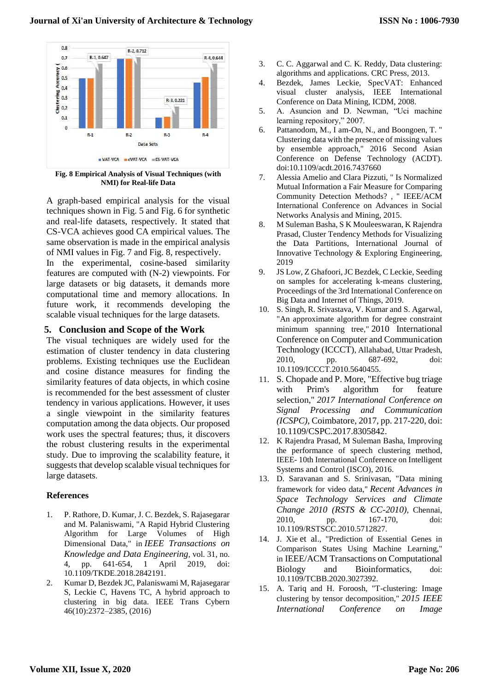

**Fig. 8 Empirical Analysis of Visual Techniques (with NMI) for Real-life Data**

A graph-based empirical analysis for the visual techniques shown in Fig. 5 and Fig. 6 for synthetic and real-life datasets, respectively. It stated that CS-VCA achieves good CA empirical values. The same observation is made in the empirical analysis of NMI values in Fig. 7 and Fig. 8, respectively.

In the experimental, cosine-based similarity features are computed with (N-2) viewpoints. For large datasets or big datasets, it demands more computational time and memory allocations. In future work, it recommends developing the scalable visual techniques for the large datasets.

## **5. Conclusion and Scope of the Work**

The visual techniques are widely used for the estimation of cluster tendency in data clustering problems. Existing techniques use the Euclidean and cosine distance measures for finding the similarity features of data objects, in which cosine is recommended for the best assessment of cluster tendency in various applications. However, it uses a single viewpoint in the similarity features computation among the data objects. Our proposed work uses the spectral features; thus, it discovers the robust clustering results in the experimental study. Due to improving the scalability feature, it suggests that develop scalable visual techniques for large datasets.

### **References**

- 1. P. Rathore, D. Kumar, J. C. Bezdek, S. Rajasegarar and M. Palaniswami, "A Rapid Hybrid Clustering Algorithm for Large Volumes of High Dimensional Data," in *IEEE Transactions on Knowledge and Data Engineering*, vol. 31, no. 4, pp. 641-654, 1 April 2019, doi: 10.1109/TKDE.2018.2842191.
- 2. Kumar D, Bezdek JC, Palaniswami M, Rajasegarar S, Leckie C, Havens TC, A hybrid approach to clustering in big data. IEEE Trans Cybern 46(10):2372–2385, (2016)
- 3. C. C. Aggarwal and C. K. Reddy, Data clustering: algorithms and applications. CRC Press, 2013.
- 4. Bezdek, James Leckie, SpecVAT: Enhanced visual cluster analysis, IEEE International Conference on Data Mining, ICDM, 2008.
- 5. A. Asuncion and D. Newman, "Uci machine learning repository," 2007.
- 6. Pattanodom, M., I am-On, N., and Boongoen, T. " Clustering data with the presence of missing values by ensemble approach," 2016 Second Asian Conference on Defense Technology (ACDT). doi:10.1109/acdt.2016.7437660
- 7. Alessia Amelio and Clara Pizzuti, " Is Normalized Mutual Information a Fair Measure for Comparing Community Detection Methods? , " IEEE/ACM International Conference on Advances in Social Networks Analysis and Mining, 2015.
- 8. M Suleman Basha, S K Mouleeswaran, K Rajendra Prasad, Cluster Tendency Methods for Visualizing the Data Partitions, International Journal of Innovative Technology & Exploring Engineering, 2019
- 9. JS Low, Z Ghafoori, JC Bezdek, C Leckie, Seeding on samples for accelerating k-means clustering, Proceedings of the 3rd International Conference on Big Data and Internet of Things, 2019.
- 10. S. Singh, R. Srivastava, V. Kumar and S. Agarwal, "An approximate algorithm for degree constraint minimum spanning tree," 2010 International Conference on Computer and Communication Technology (ICCCT), Allahabad, Uttar Pradesh, 2010, pp. 687-692, doi: 10.1109/ICCCT.2010.5640455.
- 11. S. Chopade and P. More, "Effective bug triage with Prim's algorithm for feature selection," *2017 International Conference on Signal Processing and Communication (ICSPC)*, Coimbatore, 2017, pp. 217-220, doi: 10.1109/CSPC.2017.8305842.
- 12. K Rajendra Prasad, M Suleman Basha, Improving the performance of speech clustering method, IEEE- 10th International Conference on Intelligent Systems and Control (ISCO), 2016.
- 13. D. Saravanan and S. Srinivasan, "Data mining framework for video data," *Recent Advances in Space Technology Services and Climate Change 2010 (RSTS & CC-2010)*, Chennai, 2010, pp. 167-170, doi: 10.1109/RSTSCC.2010.5712827.
- 14. J. Xie et al., "Prediction of Essential Genes in Comparison States Using Machine Learning," in IEEE/ACM Transactions on Computational Biology and Bioinformatics, doi: 10.1109/TCBB.2020.3027392.
- 15. A. Tariq and H. Foroosh, "T-clustering: Image clustering by tensor decomposition," *2015 IEEE International Conference on Image*